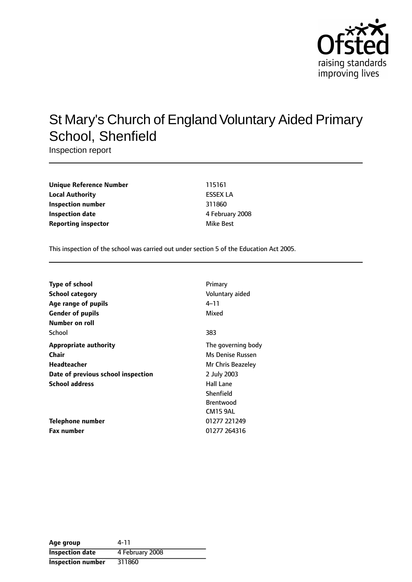

# St Mary's Church of England Voluntary Aided Primary School, Shenfield

Inspection report

| <b>Unique Reference Number</b> | 115161          |
|--------------------------------|-----------------|
| <b>Local Authority</b>         | <b>ESSEX LA</b> |
| Inspection number              | 311860          |
| Inspection date                | 4 February      |
| <b>Reporting inspector</b>     | Mike Best       |

**Unique Reference Number** 115161 **Local Authority** ESSEX LA **Inspection number** 311860 **Inspection date** 4 February 2008

This inspection of the school was carried out under section 5 of the Education Act 2005.

| Type of school                     | Primary            |
|------------------------------------|--------------------|
| <b>School category</b>             | Voluntary aided    |
| Age range of pupils                | 4–11               |
| <b>Gender of pupils</b>            | Mixed              |
| Number on roll                     |                    |
| School                             | 383                |
| Appropriate authority              | The governing body |
| Chair                              | Ms Denise Russen   |
| Headteacher                        | Mr Chris Beazeley  |
| Date of previous school inspection | 2 July 2003        |
| <b>School address</b>              | <b>Hall Lane</b>   |
|                                    | Shenfield          |
|                                    | <b>Brentwood</b>   |
|                                    | CM15 9AL           |
| <b>Telephone number</b>            | 01277 221249       |
| <b>Fax number</b>                  | 01277 264316       |

| Age group                | 4-11            |
|--------------------------|-----------------|
| <b>Inspection date</b>   | 4 February 2008 |
| <b>Inspection number</b> | 311860          |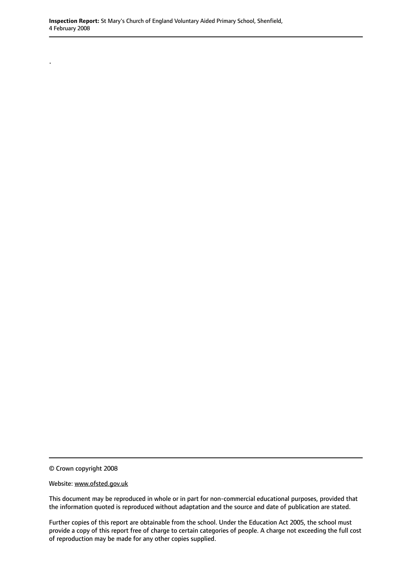© Crown copyright 2008

.

Website: www.ofsted.gov.uk

This document may be reproduced in whole or in part for non-commercial educational purposes, provided that the information quoted is reproduced without adaptation and the source and date of publication are stated.

Further copies of this report are obtainable from the school. Under the Education Act 2005, the school must provide a copy of this report free of charge to certain categories of people. A charge not exceeding the full cost of reproduction may be made for any other copies supplied.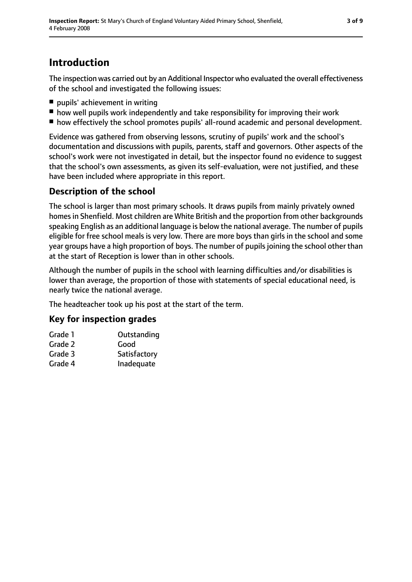## **Introduction**

The inspection was carried out by an Additional Inspector who evaluated the overall effectiveness of the school and investigated the following issues:

- pupils' achievement in writing
- how well pupils work independently and take responsibility for improving their work
- how effectively the school promotes pupils' all-round academic and personal development.

Evidence was gathered from observing lessons, scrutiny of pupils' work and the school's documentation and discussions with pupils, parents, staff and governors. Other aspects of the school's work were not investigated in detail, but the inspector found no evidence to suggest that the school's own assessments, as given its self-evaluation, were not justified, and these have been included where appropriate in this report.

### **Description of the school**

The school is larger than most primary schools. It draws pupils from mainly privately owned homes in Shenfield. Most children are White British and the proportion from other backgrounds speaking English as an additional language is below the national average. The number of pupils eligible for free school meals is very low. There are more boys than girls in the school and some year groups have a high proportion of boys. The number of pupils joining the school other than at the start of Reception is lower than in other schools.

Although the number of pupils in the school with learning difficulties and/or disabilities is lower than average, the proportion of those with statements of special educational need, is nearly twice the national average.

The headteacher took up his post at the start of the term.

### **Key for inspection grades**

| Grade 1 | Outstanding  |
|---------|--------------|
| Grade 2 | Good         |
| Grade 3 | Satisfactory |
| Grade 4 | Inadequate   |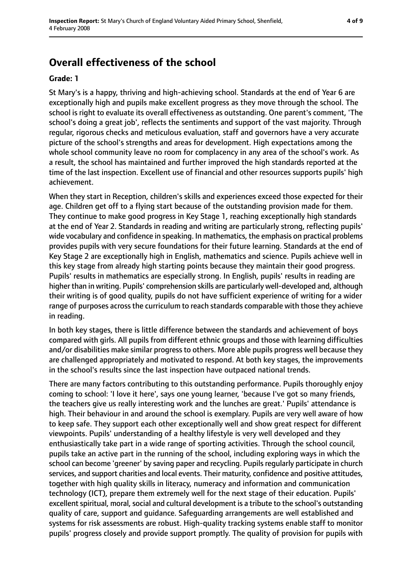## **Overall effectiveness of the school**

#### **Grade: 1**

St Mary's is a happy, thriving and high-achieving school. Standards at the end of Year 6 are exceptionally high and pupils make excellent progress as they move through the school. The school is right to evaluate its overall effectiveness as outstanding. One parent's comment, 'The school's doing a great job', reflects the sentiments and support of the vast majority. Through regular, rigorous checks and meticulous evaluation, staff and governors have a very accurate picture of the school's strengths and areas for development. High expectations among the whole school community leave no room for complacency in any area of the school's work. As a result, the school has maintained and further improved the high standards reported at the time of the last inspection. Excellent use of financial and other resources supports pupils' high achievement.

When they start in Reception, children's skills and experiences exceed those expected for their age. Children get off to a flying start because of the outstanding provision made for them. They continue to make good progress in Key Stage 1, reaching exceptionally high standards at the end of Year 2. Standards in reading and writing are particularly strong, reflecting pupils' wide vocabulary and confidence in speaking. In mathematics, the emphasis on practical problems provides pupils with very secure foundations for their future learning. Standards at the end of Key Stage 2 are exceptionally high in English, mathematics and science. Pupils achieve well in this key stage from already high starting points because they maintain their good progress. Pupils' results in mathematics are especially strong. In English, pupils' results in reading are higher than in writing. Pupils' comprehension skills are particularly well-developed and, although their writing is of good quality, pupils do not have sufficient experience of writing for a wider range of purposes across the curriculum to reach standards comparable with those they achieve in reading.

In both key stages, there is little difference between the standards and achievement of boys compared with girls. All pupils from different ethnic groups and those with learning difficulties and/or disabilities make similar progress to others. More able pupils progress well because they are challenged appropriately and motivated to respond. At both key stages, the improvements in the school's results since the last inspection have outpaced national trends.

There are many factors contributing to this outstanding performance. Pupils thoroughly enjoy coming to school: 'I love it here', says one young learner, 'because I've got so many friends, the teachers give us really interesting work and the lunches are great.' Pupils' attendance is high. Their behaviour in and around the school is exemplary. Pupils are very well aware of how to keep safe. They support each other exceptionally well and show great respect for different viewpoints. Pupils' understanding of a healthy lifestyle is very well developed and they enthusiastically take part in a wide range of sporting activities. Through the school council, pupils take an active part in the running of the school, including exploring ways in which the school can become 'greener' by saving paper and recycling. Pupils regularly participate in church services, and support charities and local events. Their maturity, confidence and positive attitudes, together with high quality skills in literacy, numeracy and information and communication technology (ICT), prepare them extremely well for the next stage of their education. Pupils' excellent spiritual, moral, social and cultural development is a tribute to the school's outstanding quality of care, support and guidance. Safeguarding arrangements are well established and systems for risk assessments are robust. High-quality tracking systems enable staff to monitor pupils' progress closely and provide support promptly. The quality of provision for pupils with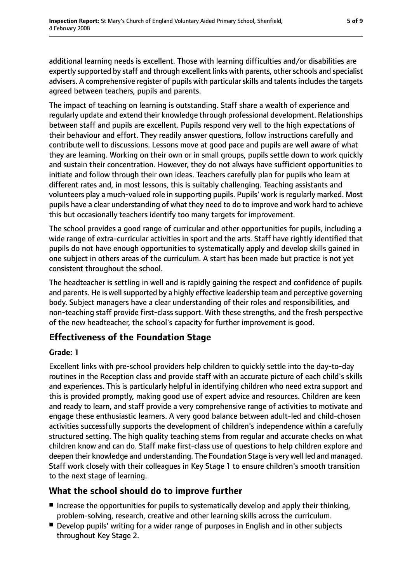additional learning needs is excellent. Those with learning difficulties and/or disabilities are expertly supported by staff and through excellent links with parents, other schools and specialist advisers. A comprehensive register of pupils with particular skills and talents includes the targets agreed between teachers, pupils and parents.

The impact of teaching on learning is outstanding. Staff share a wealth of experience and regularly update and extend their knowledge through professional development. Relationships between staff and pupils are excellent. Pupils respond very well to the high expectations of their behaviour and effort. They readily answer questions, follow instructions carefully and contribute well to discussions. Lessons move at good pace and pupils are well aware of what they are learning. Working on their own or in small groups, pupils settle down to work quickly and sustain their concentration. However, they do not always have sufficient opportunities to initiate and follow through their own ideas. Teachers carefully plan for pupils who learn at different rates and, in most lessons, this is suitably challenging. Teaching assistants and volunteers play a much-valued role in supporting pupils. Pupils' work is regularly marked. Most pupils have a clear understanding of what they need to do to improve and work hard to achieve this but occasionally teachers identify too many targets for improvement.

The school provides a good range of curricular and other opportunities for pupils, including a wide range of extra-curricular activities in sport and the arts. Staff have rightly identified that pupils do not have enough opportunities to systematically apply and develop skills gained in one subject in others areas of the curriculum. A start has been made but practice is not yet consistent throughout the school.

The headteacher is settling in well and is rapidly gaining the respect and confidence of pupils and parents. He is well supported by a highly effective leadership team and perceptive governing body. Subject managers have a clear understanding of their roles and responsibilities, and non-teaching staff provide first-class support. With these strengths, and the fresh perspective of the new headteacher, the school's capacity for further improvement is good.

### **Effectiveness of the Foundation Stage**

#### **Grade: 1**

Excellent links with pre-school providers help children to quickly settle into the day-to-day routines in the Reception class and provide staff with an accurate picture of each child's skills and experiences. This is particularly helpful in identifying children who need extra support and this is provided promptly, making good use of expert advice and resources. Children are keen and ready to learn, and staff provide a very comprehensive range of activities to motivate and engage these enthusiastic learners. A very good balance between adult-led and child-chosen activities successfully supports the development of children's independence within a carefully structured setting. The high quality teaching stems from regular and accurate checks on what children know and can do. Staff make first-class use of questions to help children explore and deepen their knowledge and understanding. The Foundation Stage is very well led and managed. Staff work closely with their colleagues in Key Stage 1 to ensure children's smooth transition to the next stage of learning.

### **What the school should do to improve further**

- Increase the opportunities for pupils to systematically develop and apply their thinking, problem-solving, research, creative and other learning skills across the curriculum.
- Develop pupils' writing for a wider range of purposes in English and in other subjects throughout Key Stage 2.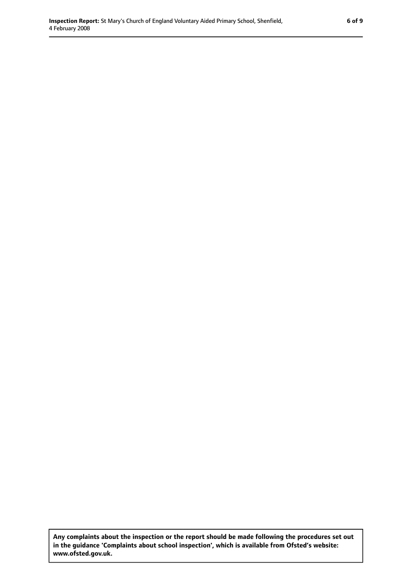**Any complaints about the inspection or the report should be made following the procedures set out in the guidance 'Complaints about school inspection', which is available from Ofsted's website: www.ofsted.gov.uk.**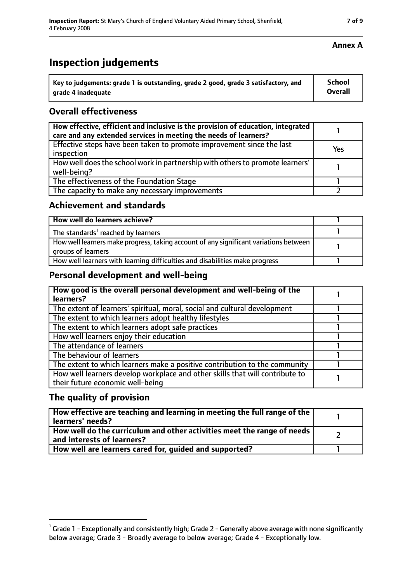### **Inspection judgements**

| $^{\cdot}$ Key to judgements: grade 1 is outstanding, grade 2 good, grade 3 satisfactory, and | School         |
|-----------------------------------------------------------------------------------------------|----------------|
| arade 4 inadequate                                                                            | <b>Overall</b> |

### **Overall effectiveness**

| How effective, efficient and inclusive is the provision of education, integrated<br>care and any extended services in meeting the needs of learners? |     |
|------------------------------------------------------------------------------------------------------------------------------------------------------|-----|
| Effective steps have been taken to promote improvement since the last<br>inspection                                                                  | Yes |
| How well does the school work in partnership with others to promote learners'<br>well-being?                                                         |     |
| The effectiveness of the Foundation Stage                                                                                                            |     |
| The capacity to make any necessary improvements                                                                                                      |     |

#### **Achievement and standards**

| How well do learners achieve?                                                                               |  |
|-------------------------------------------------------------------------------------------------------------|--|
| The standards <sup>1</sup> reached by learners                                                              |  |
| How well learners make progress, taking account of any significant variations between<br>groups of learners |  |
| How well learners with learning difficulties and disabilities make progress                                 |  |

#### **Personal development and well-being**

| How good is the overall personal development and well-being of the<br>learners?                                  |  |
|------------------------------------------------------------------------------------------------------------------|--|
| The extent of learners' spiritual, moral, social and cultural development                                        |  |
| The extent to which learners adopt healthy lifestyles                                                            |  |
| The extent to which learners adopt safe practices                                                                |  |
| How well learners enjoy their education                                                                          |  |
| The attendance of learners                                                                                       |  |
| The behaviour of learners                                                                                        |  |
| The extent to which learners make a positive contribution to the community                                       |  |
| How well learners develop workplace and other skills that will contribute to<br>their future economic well-being |  |

#### **The quality of provision**

| How effective are teaching and learning in meeting the full range of the<br>learners' needs?          |  |
|-------------------------------------------------------------------------------------------------------|--|
| How well do the curriculum and other activities meet the range of needs<br>and interests of learners? |  |
| How well are learners cared for, guided and supported?                                                |  |

#### **Annex A**

 $^1$  Grade 1 - Exceptionally and consistently high; Grade 2 - Generally above average with none significantly below average; Grade 3 - Broadly average to below average; Grade 4 - Exceptionally low.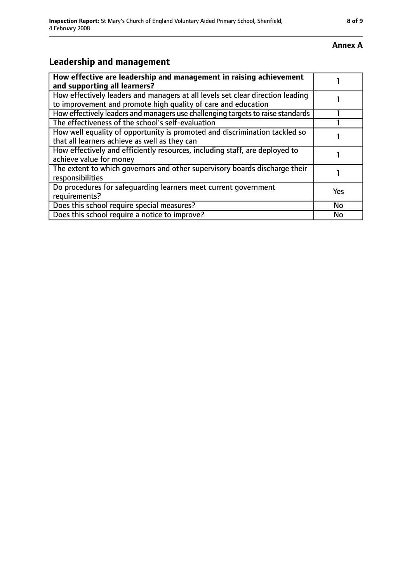#### **Annex A**

### **Leadership and management**

| How effective are leadership and management in raising achievement<br>and supporting all learners?                                              |           |
|-------------------------------------------------------------------------------------------------------------------------------------------------|-----------|
| How effectively leaders and managers at all levels set clear direction leading<br>to improvement and promote high quality of care and education |           |
| How effectively leaders and managers use challenging targets to raise standards                                                                 |           |
| The effectiveness of the school's self-evaluation                                                                                               |           |
| How well equality of opportunity is promoted and discrimination tackled so<br>that all learners achieve as well as they can                     |           |
| How effectively and efficiently resources, including staff, are deployed to<br>achieve value for money                                          |           |
| The extent to which governors and other supervisory boards discharge their<br>responsibilities                                                  |           |
| Do procedures for safequarding learners meet current government<br>requirements?                                                                | Yes       |
| Does this school require special measures?                                                                                                      | <b>No</b> |
| Does this school require a notice to improve?                                                                                                   | No        |